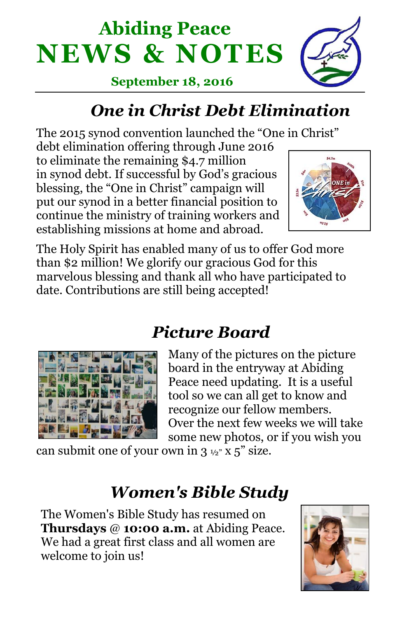



#### **September 18, 2016**

# *One in Christ Debt Elimination*

The 2015 synod convention launched the "One in Christ"

debt elimination offering through June 2016 to eliminate the remaining \$4.7 million in synod debt. If successful by God's gracious blessing, the "One in Christ" campaign will put our synod in a better financial position to continue the ministry of training workers and establishing missions at home and abroad.



The Holy Spirit has enabled many of us to offer God more than \$2 million! We glorify our gracious God for this marvelous blessing and thank all who have participated to date. Contributions are still being accepted!



## *Picture Board*

Many of the pictures on the picture board in the entryway at Abiding Peace need updating. It is a useful tool so we can all get to know and recognize our fellow members. Over the next few weeks we will take some new photos, or if you wish you

can submit one of your own in  $3 \frac{1}{2}$  x  $5$ " size.

## *Women's Bible Study*

The Women's Bible Study has resumed on **Thursdays** @ **10:00 a.m.** at Abiding Peace. We had a great first class and all women are welcome to join us!

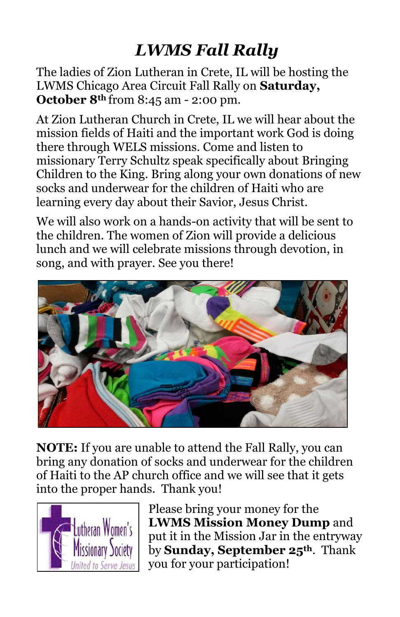# *LWMS Fall Rally*

The ladies of Zion Lutheran in Crete, IL will be hosting the LWMS Chicago Area Circuit Fall Rally on **Saturday, October 8th** from 8:45 am - 2:00 pm.

At Zion Lutheran Church in Crete, IL we will hear about the mission fields of Haiti and the important work God is doing there through WELS missions. Come and listen to missionary Terry Schultz speak specifically about Bringing Children to the King. Bring along your own donations of new socks and underwear for the children of Haiti who are learning every day about their Savior, Jesus Christ.

We will also work on a hands-on activity that will be sent to the children. The women of Zion will provide a delicious lunch and we will celebrate missions through devotion, in song, and with prayer. See you there!



**NOTE:** If you are unable to attend the Fall Rally, you can bring any donation of socks and underwear for the children of Haiti to the AP church office and we will see that it gets into the proper hands. Thank you!



Please bring your money for the **LWMS Mission Money Dump** and put it in the Mission Jar in the entryway by **Sunday, September 25th**. Thank you for your participation!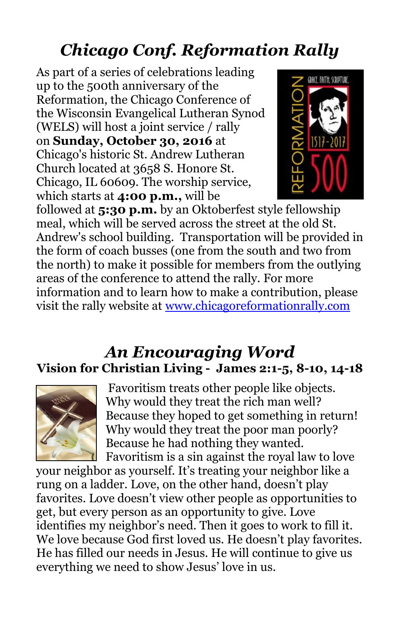# *Chicago Conf. Reformation Rally*

As part of a series of celebrations leading up to the 500th anniversary of the Reformation, the Chicago Conference of the Wisconsin Evangelical Lutheran Synod (WELS) will host a joint service / rally on **Sunday, October 30, 2016** at Chicago's historic St. Andrew Lutheran Church located at 3658 S. Honore St. Chicago, IL 60609. The worship service, which starts at **4:00 p.m.,** will be



followed at **5:30 p.m.** by an Oktoberfest style fellowship meal, which will be served across the street at the old St. Andrew's school building. Transportation will be provided in the form of coach busses (one from the south and two from the north) to make it possible for members from the outlying areas of the conference to attend the rally. For more information and to learn how to make a contribution, please visit the rally website at [www.chicagoreformationrally.com](http://newlife-wels.us2.list-manage2.com/track/click?u=2652fb7e265de6ef7aa731a6d&id=ced447d1da&e=fb6ae4dd81)

#### *An Encouraging Word* **Vision for Christian Living - James 2:1-5, 8-10, 14-18**



Favoritism treats other people like objects. Why would they treat the rich man well? Because they hoped to get something in return! Why would they treat the poor man poorly? Because he had nothing they wanted. Favoritism is a sin against the royal law to love

your neighbor as yourself. It's treating your neighbor like a rung on a ladder. Love, on the other hand, doesn't play favorites. Love doesn't view other people as opportunities to get, but every person as an opportunity to give. Love identifies my neighbor's need. Then it goes to work to fill it. We love because God first loved us. He doesn't play favorites. He has filled our needs in Jesus. He will continue to give us everything we need to show Jesus' love in us.